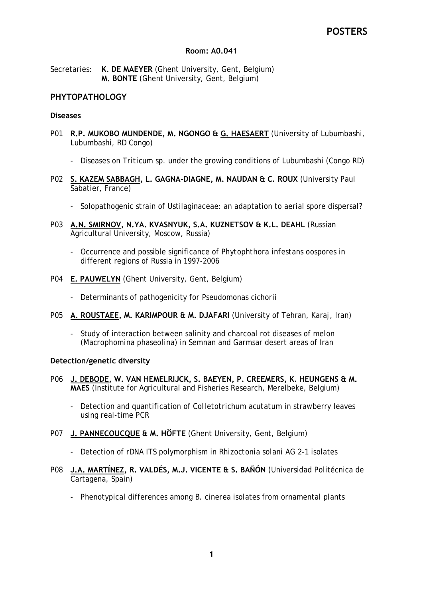#### **Room: A0.041**

Secretaries: **K. DE MAEYER** (Ghent University, Gent, Belgium) **M. BONTE** (Ghent University, Gent, Belgium)

## **PHYTOPATHOLOGY**

#### **Diseases**

- P01 **R.P. MUKOBO MUNDENDE, M. NGONGO & G. HAESAERT** (University of Lubumbashi, Lubumbashi, RD Congo)
	- Diseases on *Triticum* sp. under the growing conditions of Lubumbashi (Congo RD)
- P02 **S. KAZEM SABBAGH, L. GAGNA-DIAGNE, M. NAUDAN & C. ROUX** (University Paul Sabatier, France)
	- Solopathogenic strain of Ustilaginaceae: an adaptation to aerial spore dispersal?
- P03 **A.N. SMIRNOV, N.YA. KVASNYUK, S.A. KUZNETSOV & K.L. DEAHL** (Russian Agricultural University, Moscow, Russia)
	- Occurrence and possible significance of *Phytophthora infestans* oospores in different regions of Russia in 1997-2006
- P04 **E. PAUWELYN** (Ghent University, Gent, Belgium)
	- Determinants of pathogenicity for *Pseudomonas cichorii*
- P05 **A. ROUSTAEE, M. KARIMPOUR & M. DJAFARI** (University of Tehran, Karaj, Iran)
	- Study of interaction between salinity and charcoal rot diseases of melon (*Macrophomina phaseolina*) in Semnan and Garmsar desert areas of Iran

#### **Detection/genetic diversity**

- P06 **J. DEBODE, W. VAN HEMELRIJCK, S. BAEYEN, P. CREEMERS, K. HEUNGENS & M. MAES** (Institute for Agricultural and Fisheries Research, Merelbeke, Belgium)
	- Detection and quantification of *Colletotrichum acutatum* in strawberry leaves using real-time PCR
- P07 **J. PANNECOUCQUE & M. HÖFTE** (Ghent University, Gent, Belgium)
	- Detection of rDNA ITS polymorphism in *Rhizoctonia solani* AG 2-1 isolates
- P08 **J.A. MARTÍNEZ, R. VALDÉS, M.J. VICENTE & S. BAÑÓN** (Universidad Politécnica de Cartagena, Spain)
	- Phenotypical differences among *B. cinerea* isolates from ornamental plants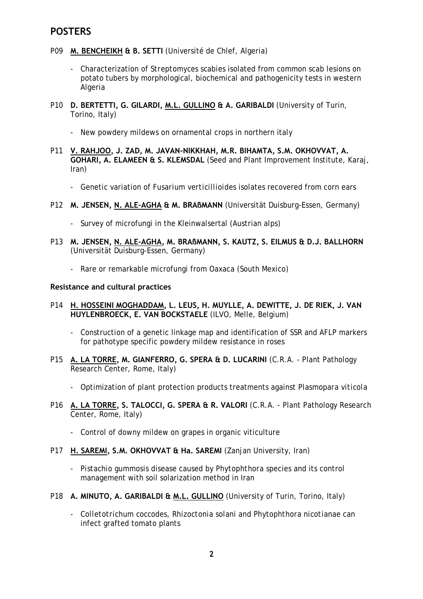- P09 **M. BENCHEIKH & B. SETTI** (Université de Chlef, Algeria)
	- Characterization of *Streptomyces scabies* isolated from common scab lesions on potato tubers by morphological, biochemical and pathogenicity tests in western Algeria
- P10 **D. BERTETTI, G. GILARDI, M.L. GULLINO & A. GARIBALDI** (University of Turin, Torino, Italy)
	- New powdery mildews on ornamental crops in northern italy
- P11 **V. RAHJOO, J. ZAD, M. JAVAN-NIKKHAH, M.R. BIHAMTA, S.M. OKHOVVAT, A. GOHARI, A. ELAMEEN & S. KLEMSDAL** (Seed and Plant Improvement Institute, Karaj, Iran)
	- Genetic variation of *Fusarium verticillioides* isolates recovered from corn ears
- P12 **M. JENSEN, N. ALE-AGHA & M. BRAßMANN** (Universität Duisburg-Essen, Germany)
	- Survey of microfungi in the Kleinwalsertal (Austrian alps)
- P13 **M. JENSEN, N. ALE-AGHA, M. BRAßMANN, S. KAUTZ, S. EILMUS & D.J. BALLHORN** (Universität Duisburg-Essen, Germany)
	- Rare or remarkable microfungi from Oaxaca (South Mexico)

#### **Resistance and cultural practices**

- P14 **H. HOSSEINI MOGHADDAM, L. LEUS, H. MUYLLE, A. DEWITTE, J. DE RIEK, J. VAN HUYLENBROECK, E. VAN BOCKSTAELE** (ILVO, Melle, Belgium)
	- Construction of a genetic linkage map and identification of SSR and AFLP markers for pathotype specific powdery mildew resistance in roses
- P15 **A. LA TORRE, M. GIANFERRO, G. SPERA & D. LUCARINI** (C.R.A. Plant Pathology Research Center, Rome, Italy)
	- Optimization of plant protection products treatments against *Plasmopara viticola*
- P16 **A. LA TORRE, S. TALOCCI, G. SPERA & R. VALORI** (C.R.A. Plant Pathology Research Center, Rome, Italy)
	- Control of downy mildew on grapes in organic viticulture
- P17 **H. SAREMI, S.M. OKHOVVAT & Ha. SAREMI** (Zanjan University, Iran)
	- *Pistachio gummosis* disease caused by *Phytophthora* species and its control management with soil solarization method in Iran
- P18 **A. MINUTO, A. GARIBALDI & M.L. GULLINO** (University of Turin, Torino, Italy)
	- *Colletotrichum coccodes*, *Rhizoctonia solani* and *Phytophthora nicotianae* can infect grafted tomato plants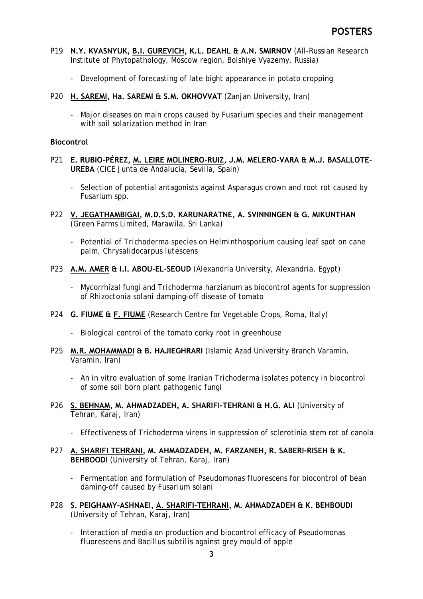- P19 **N.Y. KVASNYUK, B.I. GUREVICH, K.L. DEAHL & A.N. SMIRNOV** (All-Russian Research Institute of Phytopathology, Moscow region, Bolshiye Vyazemy, Russia)
	- Development of forecasting of late bight appearance in potato cropping
- P20 **H. SAREMI, Ha. SAREMI & S.M. OKHOVVAT** (Zanjan University, Iran)
	- Major diseases on main crops caused by *Fusarium* species and their management with soil solarization method in Iran

#### **Biocontrol**

- P21 **E. RUBIO-PÉREZ, M. LEIRE MOLINERO-RUIZ, J.M. MELERO-VARA & M.J. BASALLOTE-UREBA** (CICE Junta de Andalucía, Sevilla, Spain)
	- Selection of potential antagonists against Asparagus crown and root rot caused by Fusarium spp.
- P22 **V. JEGATHAMBIGAI, M.D.S.D. KARUNARATNE, A. SVINNINGEN & G. MIKUNTHAN** (Green Farms Limited, Marawila, Sri Lanka)
	- Potential of *Trichoderma* species on *Helminthosporium* causing leaf spot on cane palm, *Chrysalidocarpus lutescens*
- P23 **A.M. AMER & I.I. ABOU-EL-SEOUD** (Alexandria University, Alexandria, Egypt)
	- Mycorrhizal fungi and *Trichoderma harzianum* as biocontrol agents for suppression of *Rhizoctonia solani* damping-off disease of tomato
- P24 **G. FIUME & F. FIUME** (Research Centre for Vegetable Crops, Roma, Italy)
	- Biological control of the tomato corky root in greenhouse
- P25 **M.R. MOHAMMADI & B. HAJIEGHRARI** (Islamic Azad University Branch Varamin, Varamin, Iran)
	- An in vitro evaluation of some Iranian *Trichoderma* isolates potency in biocontrol of some soil born plant pathogenic fungi
- P26 **S. BEHNAM, M. AHMADZADEH, A. SHARIFI-TEHRANI & H.G. ALI** (University of Tehran, Karaj, Iran)
	- Effectiveness of *Trichoderma virens* in suppression of sclerotinia stem rot of canola
- P27 **A. SHARIFI TEHRANI, M. AHMADZADEH, M. FARZANEH, R. SABERI-RISEH & K. BEHBOOD**I (University of Tehran, Karaj, Iran)
	- Fermentation and formulation of *Pseudomonas fluorescens* for biocontrol of bean daming-off caused by *Fusarium solani*
- P28 **S. PEIGHAMY-ASHNAEI, A. SHARIFI-TEHRANI, M. AHMADZADEH & K. BEHBOUDI** (University of Tehran, Karaj, Iran)
	- Interaction of media on production and biocontrol efficacy of *Pseudomonas fluorescens* and *Bacillus subtilis* against grey mould of apple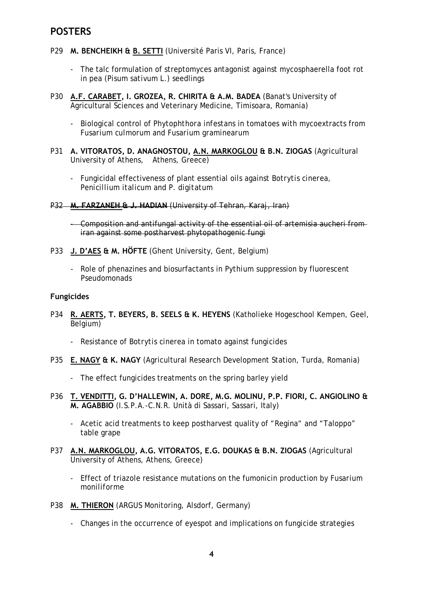- P29 **M. BENCHEIKH & B. SETTI** (Université Paris VI, Paris, France)
	- The talc formulation of streptomyces antagonist against mycosphaerella foot rot in pea (*Pisum sativum* L.) seedlings
- P30 **A.F. CARABET, I. GROZEA, R. CHIRITA & A.M. BADEA** (Banat's University of Agricultural Sciences and Veterinary Medicine, Timisoara, Romania)
	- Biological control of *Phytophthora infestans* in tomatoes with mycoextracts from *Fusarium culmorum* and *Fusarium graminearum*
- P31 **A. VITORATOS, D. ANAGNOSTOU, A.N. MARKOGLOU & B.N. ZIOGAS** (Agricultural University of Athens, Athens, Greece)
	- Fungicidal effectiveness of plant essential oils against *Botrytis cinerea, Penicillium italicum* and *P. digitatum*
- P32 **M. FARZANEH & J. HADIAN** (University of Tehran, Karaj, Iran)
	- Composition and antifungal activity of the essential oil of artemisia aucheri from iran against some postharvest phytopathogenic fungi
- P33 **J. D'AES & M. HÖFTE** (Ghent University, Gent, Belgium)
	- Role of phenazines and biosurfactants in *Pythium* suppression by fluorescent *Pseudomonads*

#### **Fungicides**

- P34 **R. AERTS, T. BEYERS, B. SEELS & K. HEYENS** (Katholieke Hogeschool Kempen, Geel, Belgium)
	- Resistance of *Botrytis cinerea* in tomato against fungicides
- P35 **E. NAGY & K. NAGY** (Agricultural Research Development Station, Turda, Romania)
	- The effect fungicides treatments on the spring barley yield
- P36 **T. VENDITTI, G. D'HALLEWIN, A. DORE, M.G. MOLINU, P.P. FIORI, C. ANGIOLINO & M. AGABBIO** (I.S.P.A.-C.N.R. Unità di Sassari, Sassari, Italy)
	- Acetic acid treatments to keep postharvest quality of "Regina" and "Taloppo" table grape
- P37 **A.N. MARKOGLOU, A.G. VITORATOS, E.G. DOUKAS & B.N. ZIOGAS** (Agricultural University of Athens, Athens, Greece)
	- Effect of triazole resistance mutations on the fumonicin production by *Fusarium moniliforme*
- P38 **M. THIERON** (ARGUS Monitoring, Alsdorf, Germany)
	- Changes in the occurrence of eyespot and implications on fungicide strategies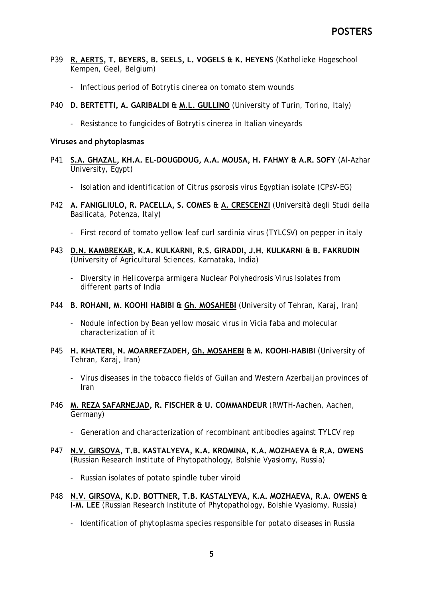- P39 **R. AERTS, T. BEYERS, B. SEELS, L. VOGELS & K. HEYENS** (Katholieke Hogeschool Kempen, Geel, Belgium)
	- Infectious period of *Botrytis cinerea* on tomato stem wounds
- P40 **D. BERTETTI, A. GARIBALDI & M.L. GULLINO** (University of Turin, Torino, Italy)
	- Resistance to fungicides of *Botrytis cinerea* in Italian vineyards

#### **Viruses and phytoplasmas**

- P41 **S.A. GHAZAL, KH.A. EL-DOUGDOUG, A.A. MOUSA, H. FAHMY & A.R. SOFY** (Al-Azhar University, Egypt)
	- Isolation and identification of *Citrus psorosis* virus Egyptian isolate (CPsV-EG)
- P42 **A. FANIGLIULO, R. PACELLA, S. COMES & A. CRESCENZI** (Università degli Studi della Basilicata, Potenza, Italy)
	- First record of tomato yellow leaf curl sardinia virus (TYLCSV) on pepper in italy
- P43 **D.N. KAMBREKAR, K.A. KULKARNI, R.S. GIRADDI, J.H. KULKARNI & B. FAKRUDIN** (University of Agricultural Sciences, Karnataka, India)
	- Diversity in *Helicoverpa armigera* Nuclear Polyhedrosis Virus Isolates from different parts of India
- P44 **B. ROHANI, M. KOOHI HABIBI & Gh. MOSAHEBI** (University of Tehran, Karaj, Iran)
	- Nodule infection by Bean yellow mosaic virus in *Vicia faba* and molecular characterization of it
- P45 **H. KHATERI, N. MOARREFZADEH, Gh. MOSAHEBI & M. KOOHI-HABIBI** (University of Tehran, Karaj, Iran)
	- Virus diseases in the tobacco fields of Guilan and Western Azerbaijan provinces of Iran
- P46 **M. REZA SAFARNEJAD, R. FISCHER & U. COMMANDEUR** (RWTH-Aachen, Aachen, Germany)
	- Generation and characterization of recombinant antibodies against TYLCV rep
- P47 **N.V. GIRSOVA, T.B. KASTALYEVA, K.A. KROMINA, K.A. MOZHAEVA & R.A. OWENS** (Russian Research Institute of Phytopathology, Bolshie Vyasiomy, Russia)
	- Russian isolates of potato spindle tuber viroid
- P48 **N.V. GIRSOVA, K.D. BOTTNER, T.B. KASTALYEVA, K.A. MOZHAEVA, R.A. OWENS & I-M. LEE** (Russian Research Institute of Phytopathology, Bolshie Vyasiomy, Russia)
	- Identification of phytoplasma species responsible for potato diseases in Russia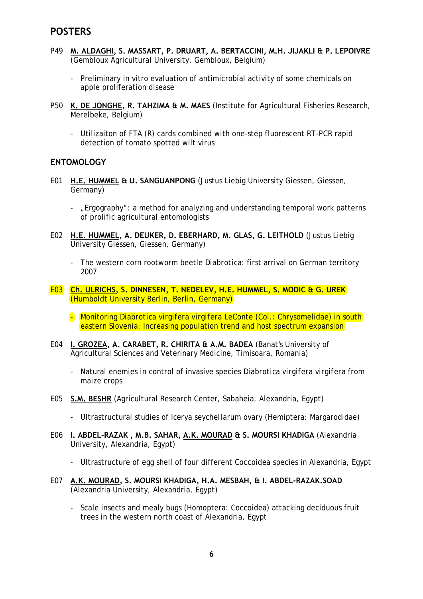- P49 **M. ALDAGHI, S. MASSART, P. DRUART, A. BERTACCINI, M.H. JIJAKLI & P. LEPOIVRE** (Gembloux Agricultural University, Gembloux, Belgium)
	- Preliminary in vitro evaluation of antimicrobial activity of some chemicals on apple proliferation disease
- P50 **K. DE JONGHE, R. TAHZIMA & M. MAES** (Institute for Agricultural Fisheries Research, Merelbeke, Belgium)
	- Utilizaiton of FTA (R) cards combined with one-step fluorescent RT-PCR rapid detection of tomato spotted wilt virus

## **ENTOMOLOGY**

- E01 **H.E. HUMMEL & U. SANGUANPONG** (Justus Liebig University Giessen, Giessen, Germany)
	- "Ergography": a method for analyzing and understanding temporal work patterns of prolific agricultural entomologists
- E02 **H.E. HUMMEL, A. DEUKER, D. EBERHARD, M. GLAS, G. LEITHOLD** (Justus Liebig University Giessen, Giessen, Germany)
	- The western corn rootworm beetle *Diabrotica*: first arrival on German territory 2007
- E03 **Ch. ULRICHS, S. DINNESEN, T. NEDELEV, H.E. HUMMEL, S. MODIC & G. UREK** (Humboldt University Berlin, Berlin, Germany)
	- Monitoring *Diabrotica virgifera virgifera* LeConte (Col.: Chrysomelidae) in south eastern Slovenia: Increasing population trend and host spectrum expansion
- E04 **I. GROZEA, A. CARABET, R. CHIRITA & A.M. BADEA** (Banat's University of Agricultural Sciences and Veterinary Medicine, Timisoara, Romania)
	- Natural enemies in control of invasive species *Diabrotica virgifera virgifera* from maize crops
- E05 **S.M. BESHR** (Agricultural Research Center, Sabaheia, Alexandria, Egypt)
	- Ultrastructural studies of *Icerya seychellarum* ovary (Hemiptera: Margarodidae)
- E06 **I. ABDEL-RAZAK , M.B. SAHAR, A.K. MOURAD & S. MOURSI KHADIGA** (Alexandria University, Alexandria, Egypt)
	- Ultrastructure of egg shell of four different Coccoidea species in Alexandria, Egypt
- E07 **A.K. MOURAD, S. MOURSI KHADIGA, H.A. MESBAH, & I. ABDEL-RAZAK.SOAD** (Alexandria University, Alexandria, Egypt)
	- Scale insects and mealy bugs (Homoptera: Coccoidea) attacking deciduous fruit trees in the western north coast of Alexandria, Egypt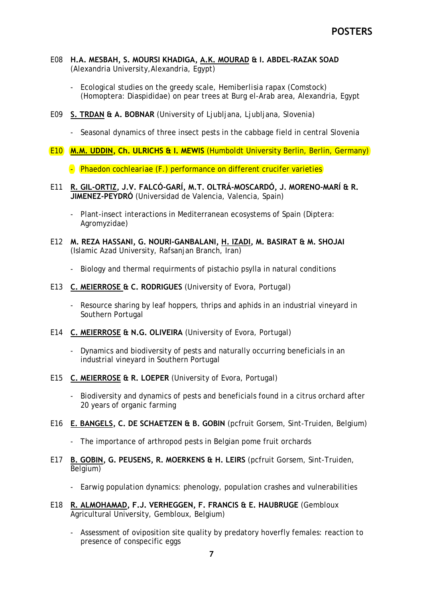- E08 **H.A. MESBAH, S. MOURSI KHADIGA, A.K. MOURAD & I. ABDEL-RAZAK SOAD** (Alexandria University,Alexandria, Egypt)
	- Ecological studies on the greedy scale, *Hemiberlisia rapax* (Comstock) (Homoptera: Diaspididae) on pear trees at Burg el-Arab area, Alexandria, Egypt
- E09 **S. TRDAN & A. BOBNAR** (University of Ljubljana, Ljubljana, Slovenia)
	- Seasonal dynamics of three insect pests in the cabbage field in central Slovenia
- E10 **M.M. UDDIN, Ch. ULRICHS & I. MEWIS** (Humboldt University Berlin, Berlin, Germany)
	- *Phaedon cochleariae* (F.) performance on different crucifer varieties
- E11 **R. GIL-ORTIZ, J.V. FALCÓ-GARÍ, M.T. OLTRÁ-MOSCARDÓ, J. MORENO-MARÍ & R. JIMENEZ-PEYDRÓ** (Universidad de Valencia, Valencia, Spain)
	- Plant-insect interactions in Mediterranean ecosystems of Spain (Diptera: Agromyzidae)
- E12 **M. REZA HASSANI, G. NOURI-GANBALANI, H. IZADI, M. BASIRAT & M. SHOJAI** (Islamic Azad University, Rafsanjan Branch, Iran)
	- Biology and thermal requirments of pistachio psylla in natural conditions
- E13 **C. MEIERROSE & C. RODRIGUES** (University of Evora, Portugal)
	- Resource sharing by leaf hoppers, thrips and aphids in an industrial vineyard in Southern Portugal
- E14 **C. MEIERROSE & N.G. OLIVEIRA** (University of Evora, Portugal)
	- Dynamics and biodiversity of pests and naturally occurring beneficials in an industrial vineyard in Southern Portugal
- E15 **C. MEIERROSE & R. LOEPER** (University of Evora, Portugal)
	- Biodiversity and dynamics of pests and beneficials found in a citrus orchard after 20 years of organic farming
- E16 **E. BANGELS, C. DE SCHAETZEN & B. GOBIN** (pcfruit Gorsem, Sint-Truiden, Belgium)
	- The importance of arthropod pests in Belgian pome fruit orchards
- E17 **B. GOBIN, G. PEUSENS, R. MOERKENS & H. LEIRS** (pcfruit Gorsem, Sint-Truiden, Belgium)
	- Earwig population dynamics: phenology, population crashes and vulnerabilities
- E18 **R. ALMOHAMAD, F.J. VERHEGGEN, F. FRANCIS & E. HAUBRUGE** (Gembloux Agricultural University, Gembloux, Belgium)
	- Assessment of oviposition site quality by predatory hoverfly females: reaction to presence of conspecific eggs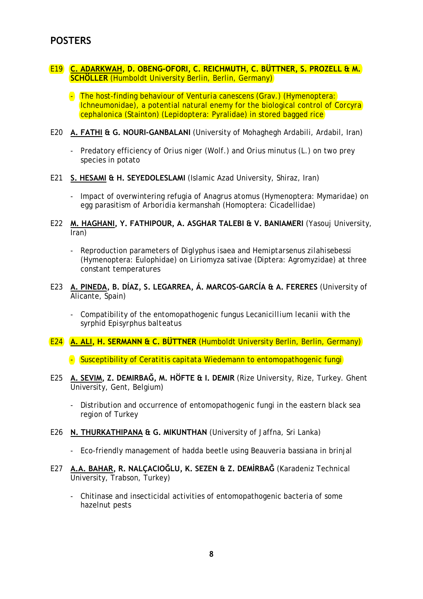## E19 **C. ADARKWAH, D. OBENG-OFORI, C. REICHMUTH, C. BÜTTNER, S. PROZELL & M. SCHÖLLER** (Humboldt University Berlin, Berlin, Germany)

- The host-finding behaviour of *Venturia canescens* (Grav.) (Hymenoptera: Ichneumonidae), a potential natural enemy for the biological control of *Corcyra cephalonica* (Stainton) (Lepidoptera: Pyralidae) in stored bagged rice
- E20 **A. FATHI & G. NOURI-GANBALANI** (University of Mohaghegh Ardabili, Ardabil, Iran)
	- Predatory efficiency of *Orius niger* (Wolf.) and *Orius minutus* (L.) on two prey species in potato
- E21 **S. HESAMI & H. SEYEDOLESLAMI** (Islamic Azad University, Shiraz, Iran)
	- Impact of overwintering refugia of *Anagrus atomus* (Hymenoptera: Mymaridae) on egg parasitism of *Arboridia kermanshah* (Homoptera: Cicadellidae)
- E22 **M. HAGHANI, Y. FATHIPOUR, A. ASGHAR TALEBI & V. BANIAMERI** (Yasouj University, Iran)
	- Reproduction parameters of *Diglyphus isaea* and *Hemiptarsenus zilahisebessi*  (Hymenoptera: Eulophidae) on *Liriomyza sativae* (Diptera: Agromyzidae) at three constant temperatures
- E23 **A. PINEDA, B. DÍAZ, S. LEGARREA, Á. MARCOS-GARCÍA & A. FERERES** (University of Alicante, Spain)
	- Compatibility of the entomopathogenic fungus *Lecanicillium lecanii* with the syrphid *Episyrphus balteatus*
- E24 **A. ALI, H. SERMANN & C. BÜTTNER** (Humboldt University Berlin, Berlin, Germany)
	- Susceptibility of *Ceratitis capitata* Wiedemann to entomopathogenic fungi
- E25 **A. SEVIM, Z. DEMIRBAĞ, M. HÖFTE & I. DEMIR** (Rize University, Rize, Turkey. Ghent University, Gent, Belgium)
	- Distribution and occurrence of entomopathogenic fungi in the eastern black sea region of Turkey
- E26 **N. THURKATHIPANA & G. MIKUNTHAN** (University of Jaffna, Sri Lanka)
	- Eco-friendly management of hadda beetle using *Beauveria bassiana* in brinjal
- E27 **A.A. BAHAR, R. NALÇACIOĞLU, K. SEZEN & Z. DEMİRBAĞ** (Karadeniz Technical University, Trabson, Turkey)
	- Chitinase and insecticidal activities of entomopathogenic bacteria of some hazelnut pests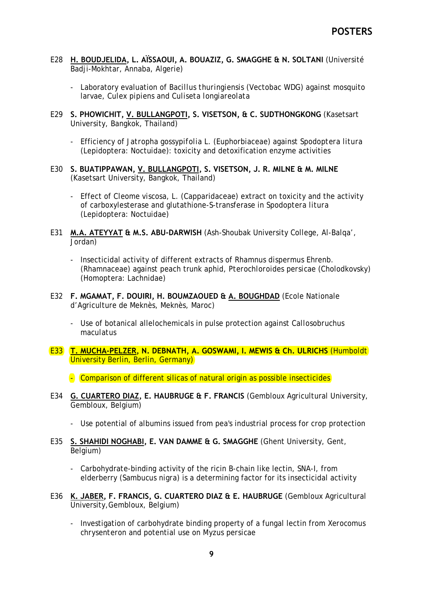- E28 **H. BOUDJELIDA, L. AÏSSAOUI, A. BOUAZIZ, G. SMAGGHE & N. SOLTANI** (Université Badji-Mokhtar, Annaba, Algerie)
	- Laboratory evaluation of *Bacillus thuringiensis* (Vectobac WDG) against mosquito larvae, *Culex pipiens* and *Culiseta longiareolata*
- E29 **S. PHOWICHIT, V. BULLANGPOTI, S. VISETSON, & C. SUDTHONGKONG** (Kasetsart University, Bangkok, Thailand)
	- Efficiency of *Jatropha gossypifolia* L. (Euphorbiaceae) against *Spodoptera litura*  (Lepidoptera: Noctuidae): toxicity and detoxification enzyme activities
- E30 **S. BUATIPPAWAN, V. BULLANGPOTI, S. VISETSON, J. R. MILNE & M. MILNE** (Kasetsart University, Bangkok, Thailand)
	- Effect of *Cleome viscosa*, L. (Capparidaceae) extract on toxicity and the activity of carboxylesterase and glutathione-S-transferase in *Spodoptera litura* (Lepidoptera: Noctuidae)
- E31 **M.A. ATEYYAT & M.S. ABU-DARWISH** (Ash-Shoubak University College, Al-Balqa', Jordan)
	- Insecticidal activity of different extracts of *Rhamnus dispermus* Ehrenb. (Rhamnaceae) against peach trunk aphid, *Pterochloroides persicae* (Cholodkovsky) (Homoptera: Lachnidae)
- E32 **F. MGAMAT, F. DOUIRI, H. BOUMZAOUED & A. BOUGHDAD** (Ecole Nationale d'Agriculture de Meknès, Meknès, Maroc)
	- Use of botanical allelochemicals in pulse protection against *Callosobruchus maculatus*
- E33 **T. MUCHA-PELZER, N. DEBNATH, A. GOSWAMI, I. MEWIS & Ch. ULRICHS** (Humboldt University Berlin, Berlin, Germany)

- Comparison of different silicas of natural origin as possible insecticides

- E34 **G. CUARTERO DIAZ, E. HAUBRUGE & F. FRANCIS** (Gembloux Agricultural University, Gembloux, Belgium)
	- Use potential of albumins issued from pea's industrial process for crop protection
- E35 **S. SHAHIDI NOGHABI, E. VAN DAMME & G. SMAGGHE** (Ghent University, Gent, Belgium)
	- Carbohydrate-binding activity of the ricin B-chain like lectin, SNA-I, from elderberry (*Sambucus nigra*) is a determining factor for its insecticidal activity
- E36 **K. JABER, F. FRANCIS, G. CUARTERO DIAZ & E. HAUBRUGE** (Gembloux Agricultural University,Gembloux, Belgium)
	- Investigation of carbohydrate binding property of a fungal lectin from *Xerocomus chrysenteron* and potential use on *Myzus persicae*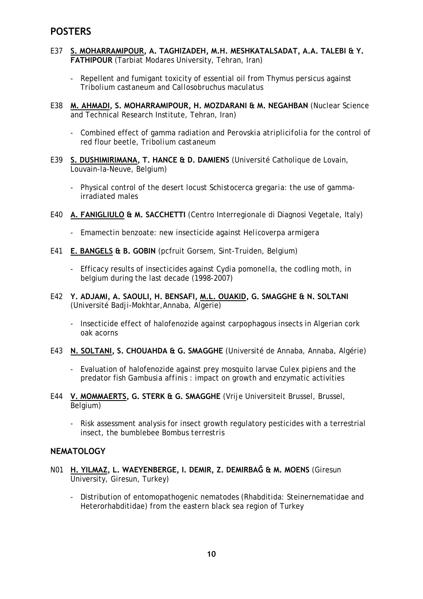- E37 **S. MOHARRAMIPOUR, A. TAGHIZADEH, M.H. MESHKATALSADAT, A.A. TALEBI & Y. FATHIPOUR** (Tarbiat Modares University, Tehran, Iran)
	- Repellent and fumigant toxicity of essential oil from *Thymus persicus* against *Tribolium castaneum* and *Callosobruchus maculatus*
- E38 **M. AHMADI, S. MOHARRAMIPOUR, H. MOZDARANI & M. NEGAHBAN** (Nuclear Science and Technical Research Institute, Tehran, Iran)
	- Combined effect of gamma radiation and *Perovskia atriplicifolia* for the control of red flour beetle, *Tribolium castaneum*
- E39 **S. DUSHIMIRIMANA, T. HANCE & D. DAMIENS** (Université Catholique de Lovain, Louvain-la-Neuve, Belgium)
	- Physical control of the desert locust *Schistocerca gregaria*: the use of gammairradiated males
- E40 **A. FANIGLIULO & M. SACCHETTI** (Centro Interregionale di Diagnosi Vegetale, Italy)
	- Emamectin benzoate: new insecticide against *Helicoverpa armigera*
- E41 **E. BANGELS & B. GOBIN** (pcfruit Gorsem, Sint-Truiden, Belgium)
	- Efficacy results of insecticides against *Cydia pomonella*, the codling moth, in belgium during the last decade (1998-2007)
- E42 **Y. ADJAMI, A. SAOULI, H. BENSAFI, M.L. OUAKID, G. SMAGGHE & N. SOLTANI** (Université Badji-Mokhtar,Annaba, Algerie)
	- Insecticide effect of halofenozide against carpophagous insects in Algerian cork oak acorns
- E43 **N. SOLTANI, S. CHOUAHDA & G. SMAGGHE** (Université de Annaba, Annaba, Algérie)
	- Evaluation of halofenozide against prey mosquito larvae *Culex pipiens* and the predator fish *Gambusia affinis* : impact on growth and enzymatic activities
- E44 **V. MOMMAERTS, G. STERK & G. SMAGGHE** (Vrije Universiteit Brussel, Brussel, Belgium)
	- Risk assessment analysis for insect growth regulatory pesticides with a terrestrial insect, the bumblebee *Bombus terrestris*

## **NEMATOLOGY**

- N01 **H. YILMAZ, L. WAEYENBERGE, I. DEMIR, Z. DEMIRBAĞ & M. MOENS** (Giresun University, Giresun, Turkey)
	- Distribution of entomopathogenic nematodes (Rhabditida: Steinernematidae and Heterorhabditidae) from the eastern black sea region of Turkey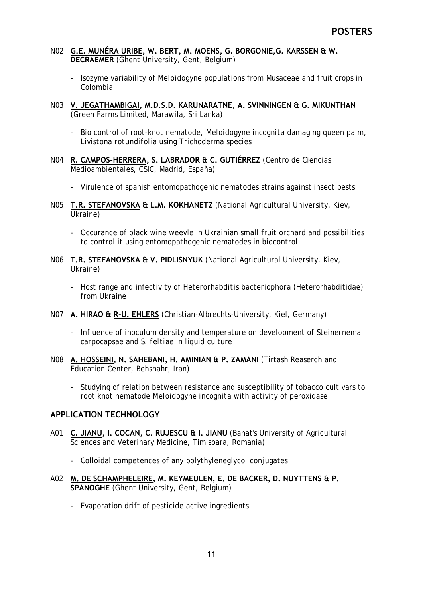- N02 **G.E. MUNÉRA URIBE, W. BERT, M. MOENS, G. BORGONIE,G. KARSSEN & W. DECRAEMER** (Ghent University, Gent, Belgium)
	- Isozyme variability of *Meloidogyne* populations from Musaceae and fruit crops in Colombia
- N03 **V. JEGATHAMBIGAI, M.D.S.D. KARUNARATNE, A. SVINNINGEN & G. MIKUNTHAN**  (Green Farms Limited, Marawila, Sri Lanka)
	- Bio control of root-knot nematode, *Meloidogyne incognita* damaging queen palm, *Livistona rotundifolia* using *Trichoderma species*
- N04 **R. CAMPOS-HERRERA, S. LABRADOR & C. GUTIÉRREZ** (Centro de Ciencias Medioambientales, CSIC, Madrid, España)
	- Virulence of spanish entomopathogenic nematodes strains against insect pests
- N05 **T.R. STEFANOVSKA & L.M. KOKHANETZ** (National Agricultural University, Kiev, Ukraine)
	- Occurance of black wine weevle in Ukrainian small fruit orchard and possibilities to control it using entomopathogenic nematodes in biocontrol
- N06 **T.R. STEFANOVSKA & V. PIDLISNYUK** (National Agricultural University, Kiev, Ukraine)
	- Host range and infectivity of *Heterorhabditis bacteriophora* (Heterorhabditidae) from Ukraine
- N07 **A. HIRAO & R-U. EHLERS** (Christian-Albrechts-University, Kiel, Germany)
	- Influence of inoculum density and temperature on development of *Steinernema carpocapsae* and *S. feltiae* in liquid culture
- N08 **A. HOSSEINI, N. SAHEBANI, H. AMINIAN & P. ZAMANI** (Tirtash Reaserch and Education Center, Behshahr, Iran)
	- Studying of relation between resistance and susceptibility of tobacco cultivars to root knot nematode *Meloidogyne incognita* with activity of peroxidase

## **APPLICATION TECHNOLOGY**

- A01 **C. JIANU, I. COCAN, C. RUJESCU & I. JIANU** (Banat's University of Agricultural Sciences and Veterinary Medicine, Timisoara, Romania)
	- Colloidal competences of any polythyleneglycol conjugates
- A02 **M. DE SCHAMPHELEIRE, M. KEYMEULEN, E. DE BACKER, D. NUYTTENS & P. SPANOGHE** (Ghent University, Gent, Belgium)
	- Evaporation drift of pesticide active ingredients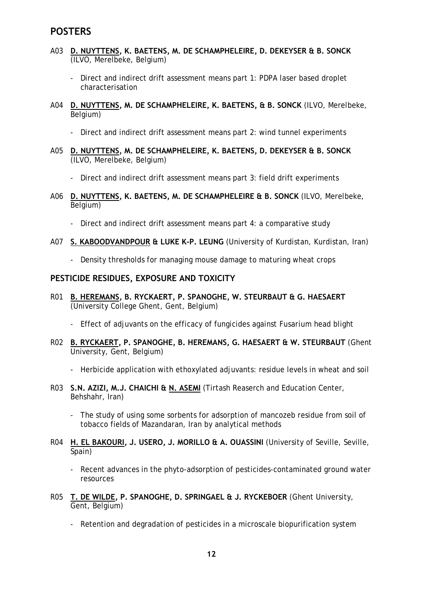- A03 **D. NUYTTENS, K. BAETENS, M. DE SCHAMPHELEIRE, D. DEKEYSER & B. SONCK** (ILVO, Merelbeke, Belgium)
	- Direct and indirect drift assessment means part 1: PDPA laser based droplet characterisation
- A04 **D. NUYTTENS, M. DE SCHAMPHELEIRE, K. BAETENS, & B. SONCK** (ILVO, Merelbeke, Belgium)
	- Direct and indirect drift assessment means part 2: wind tunnel experiments
- A05 **D. NUYTTENS, M. DE SCHAMPHELEIRE, K. BAETENS, D. DEKEYSER & B. SONCK** (ILVO, Merelbeke, Belgium)
	- Direct and indirect drift assessment means part 3: field drift experiments
- A06 **D. NUYTTENS, K. BAETENS, M. DE SCHAMPHELEIRE & B. SONCK** (ILVO, Merelbeke, Belgium)
	- Direct and indirect drift assessment means part 4: a comparative study
- A07 **S. KABOODVANDPOUR & LUKE K-P. LEUNG** (University of Kurdistan, Kurdistan, Iran)
	- Density thresholds for managing mouse damage to maturing wheat crops

#### **PESTICIDE RESIDUES, EXPOSURE AND TOXICITY**

- R01 **B. HEREMANS, B. RYCKAERT, P. SPANOGHE, W. STEURBAUT & G. HAESAERT** (University College Ghent, Gent, Belgium)
	- Effect of adjuvants on the efficacy of fungicides against *Fusarium* head blight
- R02 **B. RYCKAERT, P. SPANOGHE, B. HEREMANS, G. HAESAERT & W. STEURBAUT** (Ghent University, Gent, Belgium)
	- Herbicide application with ethoxylated adjuvants: residue levels in wheat and soil
- R03 **S.N. AZIZI, M.J. CHAICHI & N. ASEMI** (Tirtash Reaserch and Education Center, Behshahr, Iran)
	- The study of using some sorbents for adsorption of mancozeb residue from soil of tobacco fields of Mazandaran, Iran by analytical methods
- R04 **H. EL BAKOURI, J. USERO, J. MORILLO & A. OUASSINI** (University of Seville, Seville, Spain)
	- Recent advances in the phyto-adsorption of pesticides-contaminated ground water resources
- R05 **T. DE WILDE, P. SPANOGHE, D. SPRINGAEL & J. RYCKEBOER** (Ghent University, Gent, Belgium)
	- Retention and degradation of pesticides in a microscale biopurification system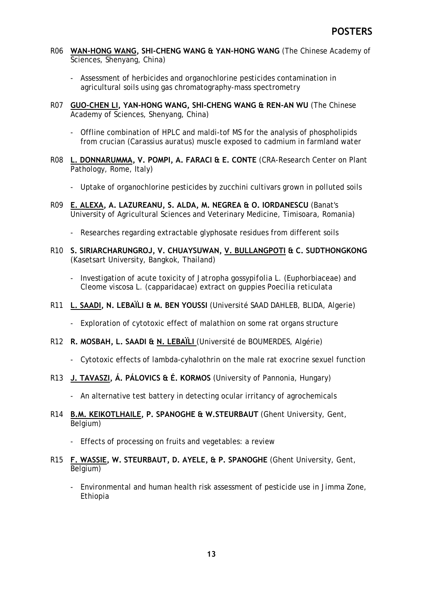- R06 **WAN-HONG WANG, SHI-CHENG WANG & YAN-HONG WANG** (The Chinese Academy of Sciences, Shenyang, China)
	- Assessment of herbicides and organochlorine pesticides contamination in agricultural soils using gas chromatography-mass spectrometry
- R07 **GUO-CHEN LI, YAN-HONG WANG, SHI-CHENG WANG & REN-AN WU** (The Chinese Academy of Sciences, Shenyang, China)
	- Offline combination of HPLC and maldi-tof MS for the analysis of phospholipids from crucian (*Carassius auratus*) muscle exposed to cadmium in farmland water
- R08 **L. DONNARUMMA, V. POMPI, A. FARACI & E. CONTE** (CRA-Research Center on Plant Pathology, Rome, Italy)
	- Uptake of organochlorine pesticides by zucchini cultivars grown in polluted soils
- R09 **E. ALEXA, A. LAZUREANU, S. ALDA, M. NEGREA & O. IORDANESCU** (Banat's University of Agricultural Sciences and Veterinary Medicine, Timisoara, Romania)
	- Researches regarding extractable glyphosate residues from different soils
- R10 **S. SIRIARCHARUNGROJ, V. CHUAYSUWAN, V. BULLANGPOTI & C. SUDTHONGKONG**  (Kasetsart University, Bangkok, Thailand)
	- Investigation of acute toxicity of *Jatropha gossypifolia* L. (Euphorbiaceae) and *Cleome viscosa* L. (capparidacae) extract on guppies *Poecilia reticulata*
- R11 **L. SAADI, N. LEBAÏLI & M. BEN YOUSSI** (Université SAAD DAHLEB, BLIDA, Algerie)
	- Exploration of cytotoxic effect of malathion on some rat organs structure
- R12 **R. MOSBAH, L. SAADI & N. LEBAÏLI** (Université de BOUMERDES, Algérie)
	- Cytotoxic effects of lambda-cyhalothrin on the male rat exocrine sexuel function
- R13 **J. TAVASZI, Á. PÁLOVICS & É. KORMOS** (University of Pannonia, Hungary)
	- An alternative test battery in detecting ocular irritancy of agrochemicals
- R14 **B.M. KEIKOTLHAILE, P. SPANOGHE & W.STEURBAUT** (Ghent University, Gent, Belgium)
	- Effects of processing on fruits and vegetables: a review
- R15 **F. WASSIE, W. STEURBAUT, D. AYELE, & P. SPANOGHE** (Ghent University, Gent, Belgium)
	- Environmental and human health risk assessment of pesticide use in Jimma Zone, Ethiopia